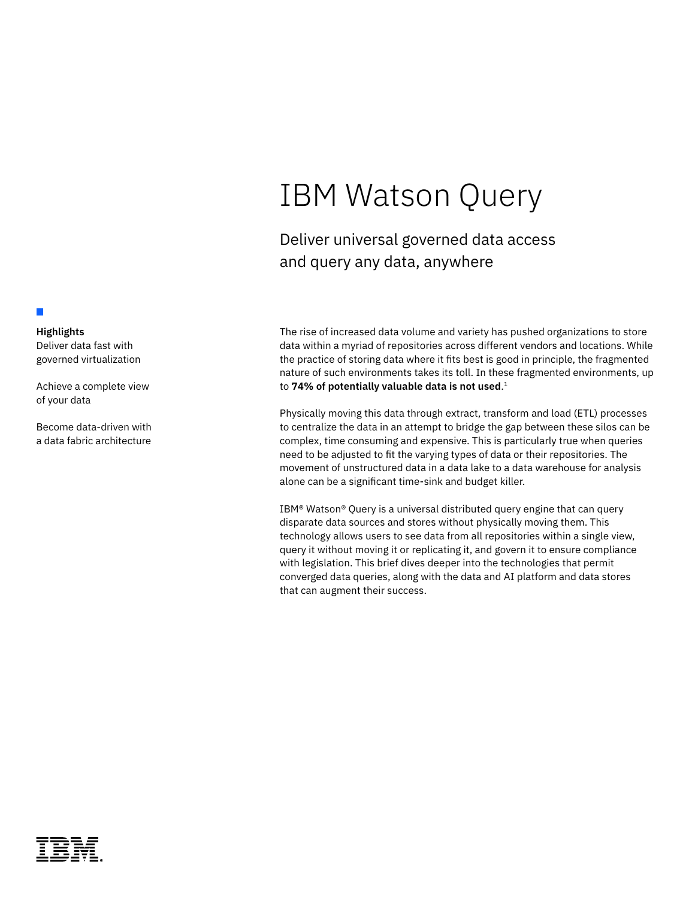# IBM Watson Query

Deliver universal governed data access and query any data, anywhere

The rise of increased data volume and variety has pushed organizations to store data within a myriad of repositories across different vendors and locations. While the practice of storing data where it fits best is good in principle, the fragmented nature of such environments takes its toll. In these fragmented environments, up to **74% of potentially valuable data is not used**. 1

Physically moving this data through extract, transform and load (ETL) processes to centralize the data in an attempt to bridge the gap between these silos can be complex, time consuming and expensive. This is particularly true when queries need to be adjusted to fit the varying types of data or their repositories. The movement of unstructured data in a data lake to a data warehouse for analysis alone can be a significant time-sink and budget killer.

IBM® Watson® Query is a universal distributed query engine that can query disparate data sources and stores without physically moving them. This technology allows users to see data from all repositories within a single view, query it without moving it or replicating it, and govern it to ensure compliance with legislation. This brief dives deeper into the technologies that permit converged data queries, along with the data and AI platform and data stores that can augment their success.

# **Highlights**

П

Deliver data fast with governed virtualization

Achieve a complete view of your data

Become data-driven with a data fabric architecture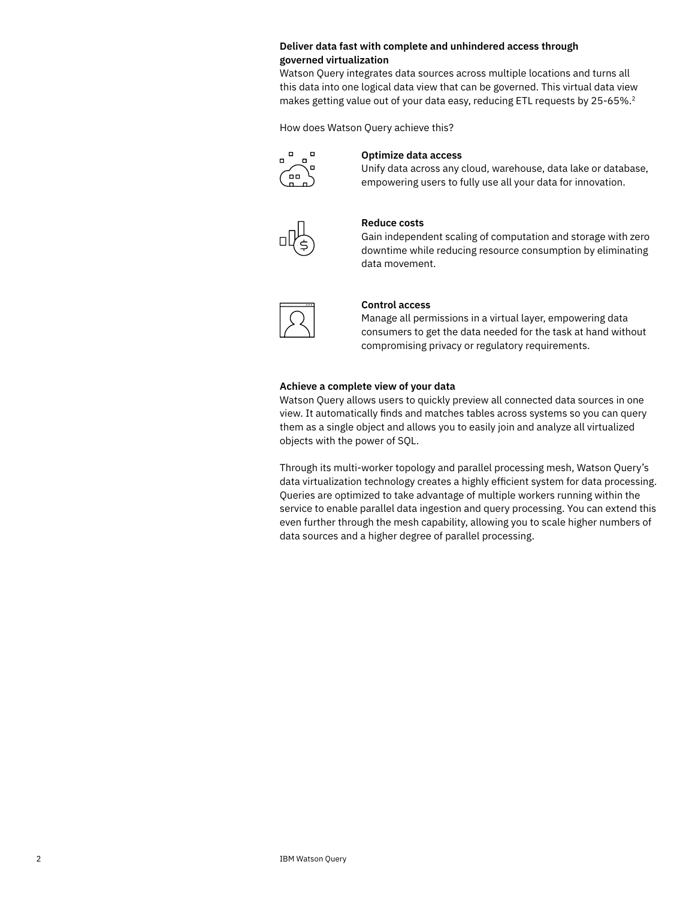# **Deliver data fast with complete and unhindered access through governed virtualization**

Watson Query integrates data sources across multiple locations and turns all this data into one logical data view that can be governed. This virtual data view makes getting value out of your data easy, reducing ETL requests by 25-65%.<sup>2</sup>

How does Watson Query achieve this?



# **Optimize data access**

Unify data across any cloud, warehouse, data lake or database, empowering users to fully use all your data for innovation.



# **Reduce costs**

Gain independent scaling of computation and storage with zero downtime while reducing resource consumption by eliminating data movement.



#### **Control access**

Manage all permissions in a virtual layer, empowering data consumers to get the data needed for the task at hand without compromising privacy or regulatory requirements.

#### **Achieve a complete view of your data**

Watson Query allows users to quickly preview all connected data sources in one view. It automatically finds and matches tables across systems so you can query them as a single object and allows you to easily join and analyze all virtualized objects with the power of SQL.

Through its multi-worker topology and parallel processing mesh, Watson Query's data virtualization technology creates a highly efficient system for data processing. Queries are optimized to take advantage of multiple workers running within the service to enable parallel data ingestion and query processing. You can extend this even further through the mesh capability, allowing you to scale higher numbers of data sources and a higher degree of parallel processing.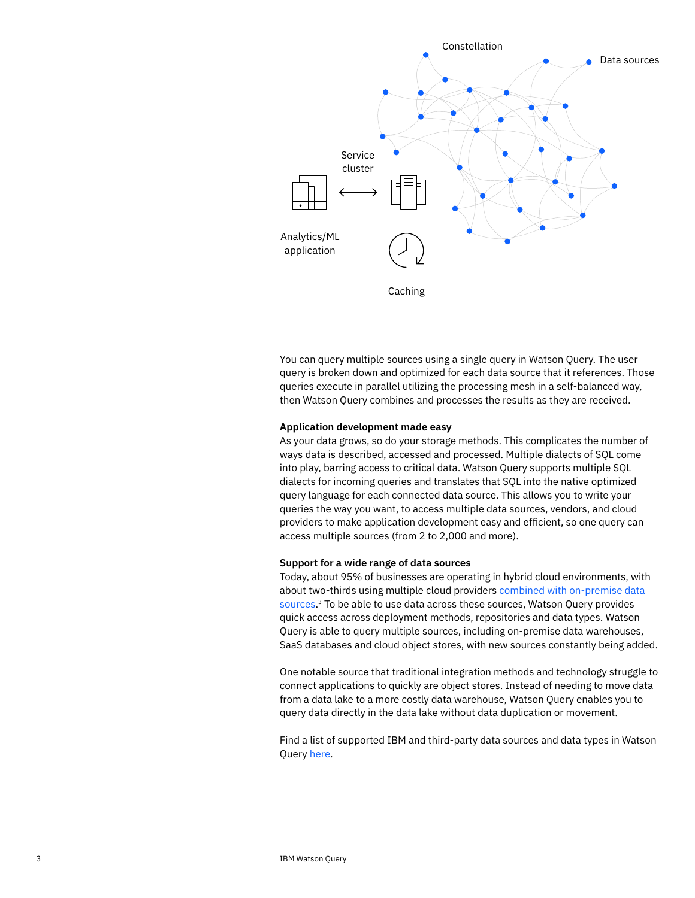

You can query multiple sources using a single query in Watson Query. The user query is broken down and optimized for each data source that it references. Those queries execute in parallel utilizing the processing mesh in a self-balanced way, then Watson Query combines and processes the results as they are received.

#### **Application development made easy**

As your data grows, so do your storage methods. This complicates the number of ways data is described, accessed and processed. Multiple dialects of SQL come into play, barring access to critical data. Watson Query supports multiple SQL dialects for incoming queries and translates that SQL into the native optimized query language for each connected data source. This allows you to write your queries the way you want, to access multiple data sources, vendors, and cloud providers to make application development easy and efficient, so one query can access multiple sources (from 2 to 2,000 and more).

#### **Support for a wide range of data sources**

Today, about 95% of businesses are operating in hybrid cloud environments, with about two-thirds using multiple cloud providers [combined with on-premise data](https://www.bcg.com/publications/2021/navigating-multicloud-strategy)  [sources](https://www.bcg.com/publications/2021/navigating-multicloud-strategy). 3 To be able to use data across these sources, Watson Query provides quick access across deployment methods, repositories and data types. Watson Query is able to query multiple sources, including on-premise data warehouses, SaaS databases and cloud object stores, with new sources constantly being added.

One notable source that traditional integration methods and technology struggle to connect applications to quickly are object stores. Instead of needing to move data from a data lake to a more costly data warehouse, Watson Query enables you to query data directly in the data lake without data duplication or movement.

Find a list of supported IBM and third-party data sources and data types in Watson Query [here](https://dataplatform.cloud.ibm.com/docs/content/dvaas/dv_supported_data_sources.html?context=wdp&audience=wdp).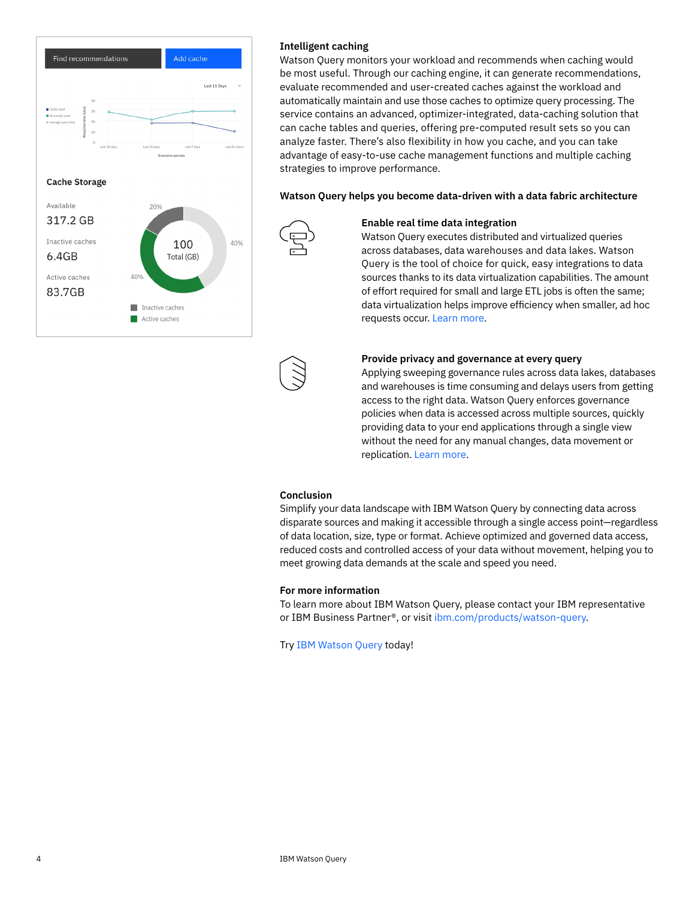

# **Intelligent caching**

Watson Query monitors your workload and recommends when caching would be most useful. Through our caching engine, it can generate recommendations, evaluate recommended and user-created caches against the workload and automatically maintain and use those caches to optimize query processing. The service contains an advanced, optimizer-integrated, data-caching solution that can cache tables and queries, offering pre-computed result sets so you can analyze faster. There's also flexibility in how you cache, and you can take advantage of easy-to-use cache management functions and multiple caching strategies to improve performance.

**Watson Query helps you become data-driven with a data fabric architecture**



# **Enable real time data integration**

Watson Query executes distributed and virtualized queries across databases, data warehouses and data lakes. Watson Query is the tool of choice for quick, easy integrations to data sources thanks to its data virtualization capabilities. The amount of effort required for small and large ETL jobs is often the same; data virtualization helps improve efficiency when smaller, ad hoc requests occur. [Learn more.](https://www.ibm.com/products/cloud-pak-for-data/multicloud-integration)



Applying sweeping governance rules across data lakes, databases and warehouses is time consuming and delays users from getting access to the right data. Watson Query enforces governance policies when data is accessed across multiple sources, quickly providing data to your end applications through a single view without the need for any manual changes, data movement or replication. [Learn more.](https://www.ibm.com/products/cloud-pak-for-data/governance)

# **Conclusion**

Simplify your data landscape with IBM Watson Query by connecting data across disparate sources and making it accessible through a single access point—regardless of data location, size, type or format. Achieve optimized and governed data access, reduced costs and controlled access of your data without movement, helping you to meet growing data demands at the scale and speed you need.

# **For more information**

To learn more about IBM Watson Query, please contact your IBM representative or IBM Business Partner®, or visit [ibm.com/products/watson-query](http://ibm.com/products/watson-query).

[Try](https://dataplatform.cloud.ibm.com/registration/stepone?context=cpdaas&uucid=04fff6e19e3bf9ae&utm_content=CPDWW) [IBM Watson Query today!](https://dataplatform.cloud.ibm.com/registration/stepone?context=cpdaas&uucid=04fff6e19e3bf9ae&utm_content=CPDWW)